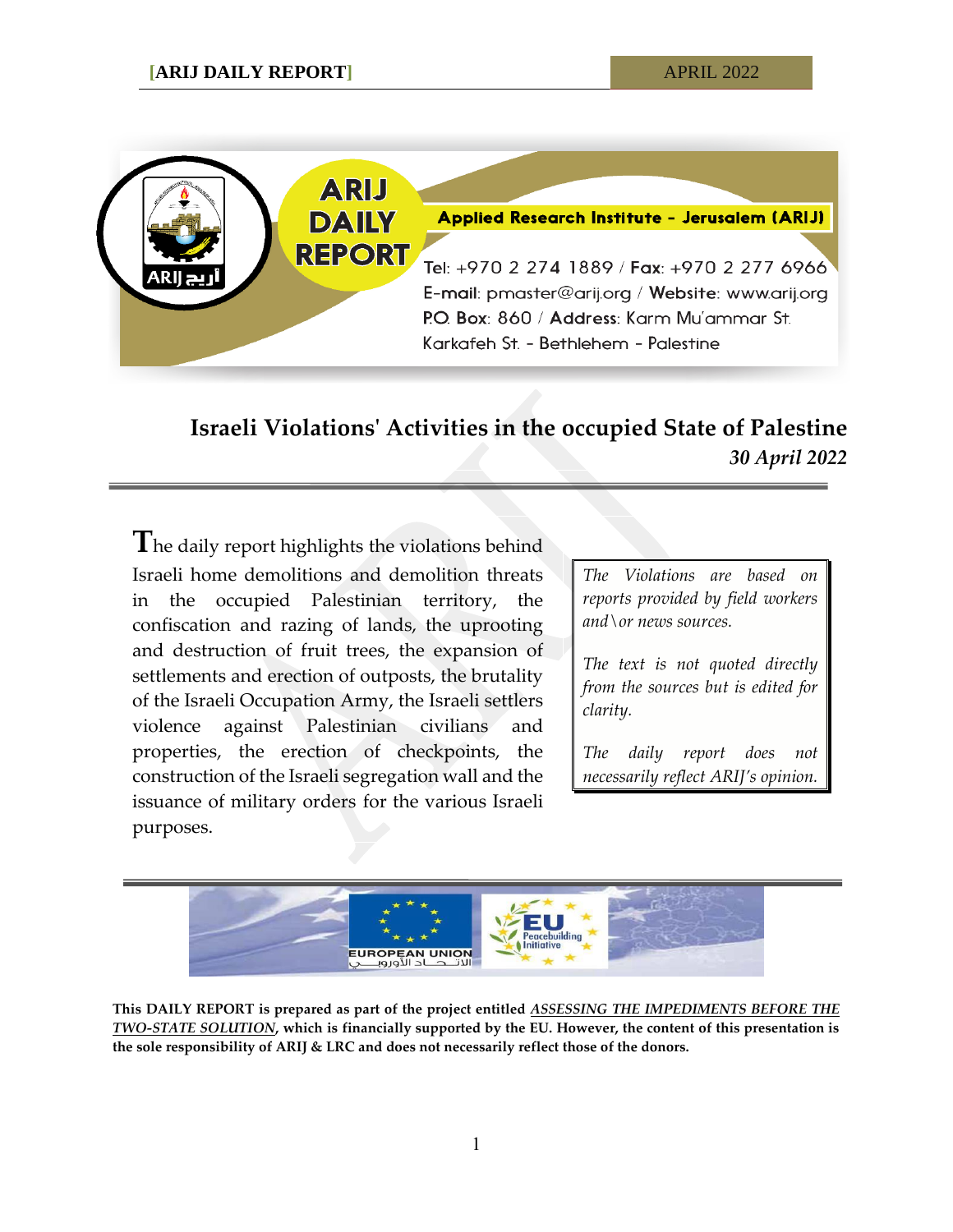

## **Israeli Violations' Activities in the occupied State of Palestine** *30 April 2022*

**T**he daily report highlights the violations behind Israeli home demolitions and demolition threats in the occupied Palestinian territory, the confiscation and razing of lands, the uprooting and destruction of fruit trees, the expansion of settlements and erection of outposts, the brutality of the Israeli Occupation Army, the Israeli settlers violence against Palestinian civilians and properties, the erection of checkpoints, the construction of the Israeli segregation wall and the issuance of military orders for the various Israeli purposes.

*The Violations are based on reports provided by field workers and\or news sources.*

*The text is not quoted directly from the sources but is edited for clarity.*

*The daily report does not necessarily reflect ARIJ's opinion.*



**This DAILY REPORT is prepared as part of the project entitled** *ASSESSING THE IMPEDIMENTS BEFORE THE TWO-STATE SOLUTION***, which is financially supported by the EU. However, the content of this presentation is the sole responsibility of ARIJ & LRC and does not necessarily reflect those of the donors.**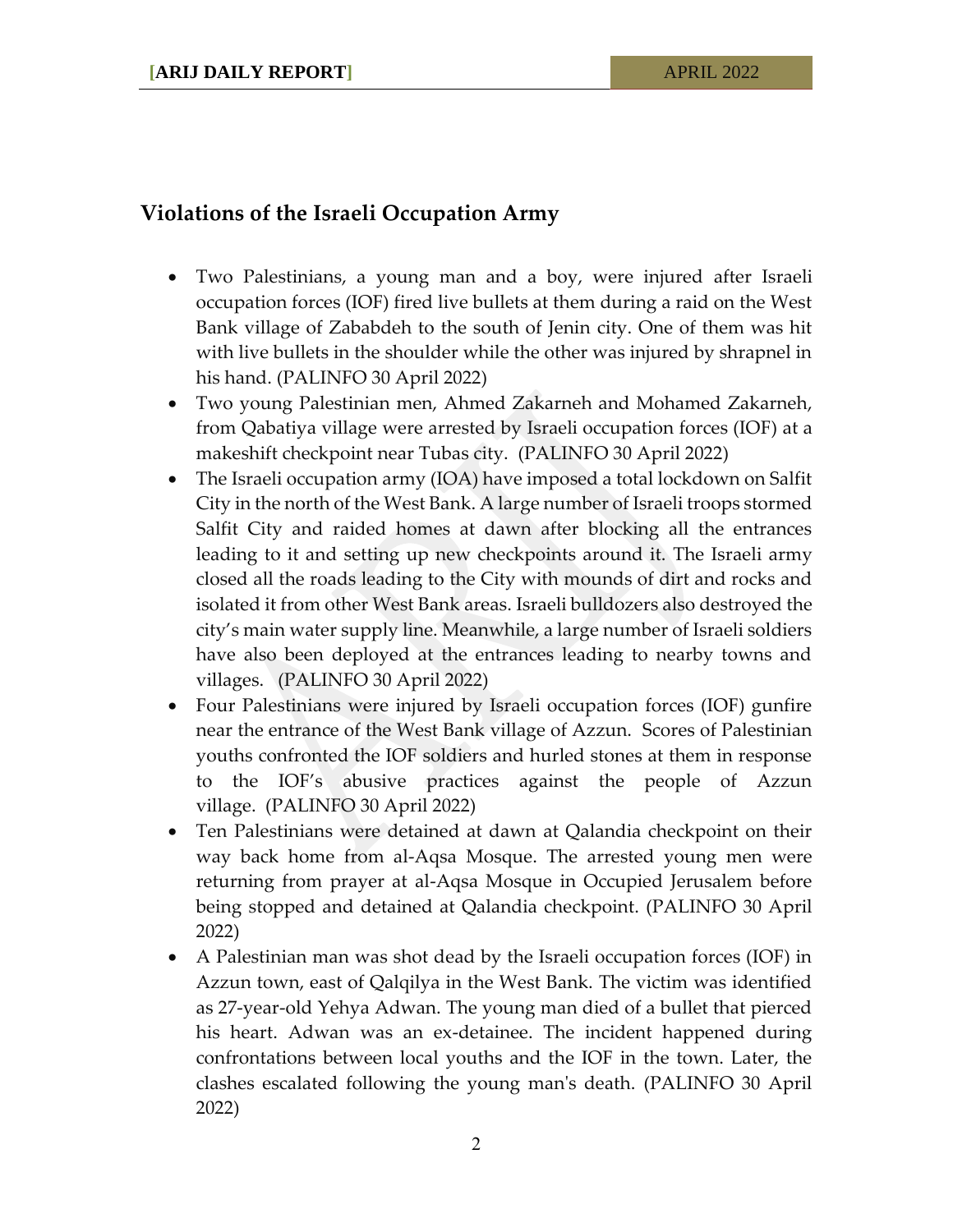## **Violations of the Israeli Occupation Army**

- Two Palestinians, a young man and a boy, were injured after Israeli occupation forces (IOF) fired live bullets at them during a raid on the West Bank village of Zababdeh to the south of Jenin city. One of them was hit with live bullets in the shoulder while the other was injured by shrapnel in his hand. (PALINFO 30 April 2022)
- Two young Palestinian men, Ahmed Zakarneh and Mohamed Zakarneh, from Qabatiya village were arrested by Israeli occupation forces (IOF) at a makeshift checkpoint near Tubas city. (PALINFO 30 April 2022)
- The Israeli occupation army (IOA) have imposed a total lockdown on Salfit City in the north of the West Bank. A large number of Israeli troops stormed Salfit City and raided homes at dawn after blocking all the entrances leading to it and setting up new checkpoints around it. The Israeli army closed all the roads leading to the City with mounds of dirt and rocks and isolated it from other West Bank areas. Israeli bulldozers also destroyed the city's main water supply line. Meanwhile, a large number of Israeli soldiers have also been deployed at the entrances leading to nearby towns and villages. (PALINFO 30 April 2022)
- Four Palestinians were injured by Israeli occupation forces (IOF) gunfire near the entrance of the West Bank village of Azzun. Scores of Palestinian youths confronted the IOF soldiers and hurled stones at them in response to the IOF's abusive practices against the people of Azzun village. (PALINFO 30 April 2022)
- Ten Palestinians were detained at dawn at Qalandia checkpoint on their way back home from al-Aqsa Mosque. The arrested young men were returning from prayer at al-Aqsa Mosque in Occupied Jerusalem before being stopped and detained at Qalandia checkpoint. (PALINFO 30 April 2022)
- A Palestinian man was shot dead by the Israeli occupation forces (IOF) in Azzun town, east of Qalqilya in the West Bank. The victim was identified as 27-year-old Yehya Adwan. The young man died of a bullet that pierced his heart. Adwan was an ex-detainee. The incident happened during confrontations between local youths and the IOF in the town. Later, the clashes escalated following the young man's death. (PALINFO 30 April 2022)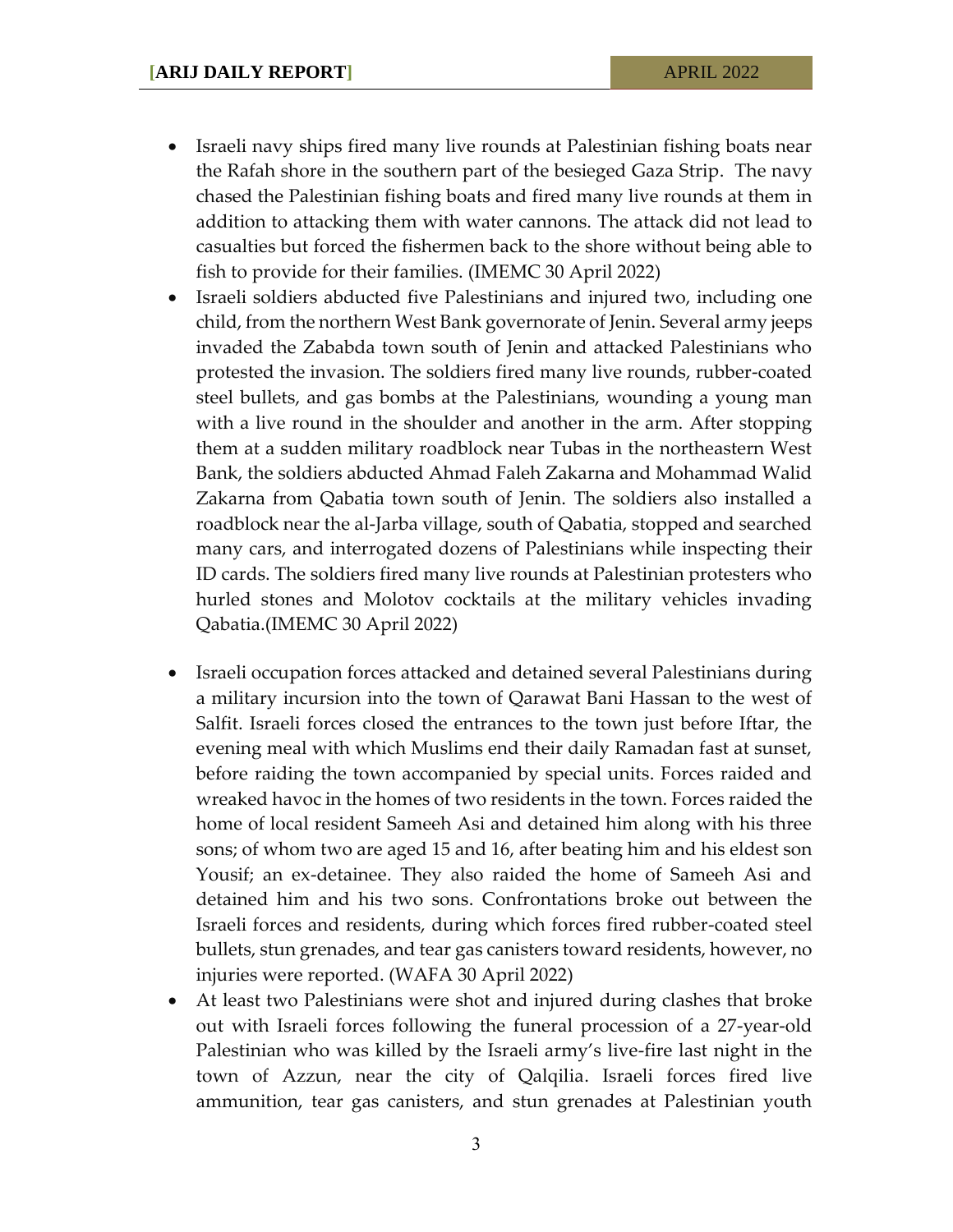- Israeli navy ships fired many live rounds at Palestinian fishing boats near the Rafah shore in the southern part of the besieged Gaza Strip. The navy chased the Palestinian fishing boats and fired many live rounds at them in addition to attacking them with water cannons. The attack did not lead to casualties but forced the fishermen back to the shore without being able to fish to provide for their families. (IMEMC 30 April 2022)
- Israeli soldiers abducted five Palestinians and injured two, including one child, from the northern West Bank governorate of Jenin. Several army jeeps invaded the Zababda town south of Jenin and attacked Palestinians who protested the invasion. The soldiers fired many live rounds, rubber-coated steel bullets, and gas bombs at the Palestinians, wounding a young man with a live round in the shoulder and another in the arm. After stopping them at a sudden military roadblock near Tubas in the northeastern West Bank, the soldiers abducted Ahmad Faleh Zakarna and Mohammad Walid Zakarna from Qabatia town south of Jenin. The soldiers also installed a roadblock near the al-Jarba village, south of Qabatia, stopped and searched many cars, and interrogated dozens of Palestinians while inspecting their ID cards. The soldiers fired many live rounds at Palestinian protesters who hurled stones and Molotov cocktails at the military vehicles invading Qabatia.(IMEMC 30 April 2022)
- Israeli occupation forces attacked and detained several Palestinians during a military incursion into the town of Qarawat Bani Hassan to the west of Salfit. Israeli forces closed the entrances to the town just before Iftar, the evening meal with which Muslims end their daily Ramadan fast at sunset, before raiding the town accompanied by special units. Forces raided and wreaked havoc in the homes of two residents in the town. Forces raided the home of local resident Sameeh Asi and detained him along with his three sons; of whom two are aged 15 and 16, after beating him and his eldest son Yousif; an ex-detainee. They also raided the home of Sameeh Asi and detained him and his two sons. Confrontations broke out between the Israeli forces and residents, during which forces fired rubber-coated steel bullets, stun grenades, and tear gas canisters toward residents, however, no injuries were reported. (WAFA 30 April 2022)
- At least two Palestinians were shot and injured during clashes that broke out with Israeli forces following the funeral procession of a 27-year-old Palestinian who was killed by the Israeli army's live-fire last night in the town of Azzun, near the city of Qalqilia. Israeli forces fired live ammunition, tear gas canisters, and stun grenades at Palestinian youth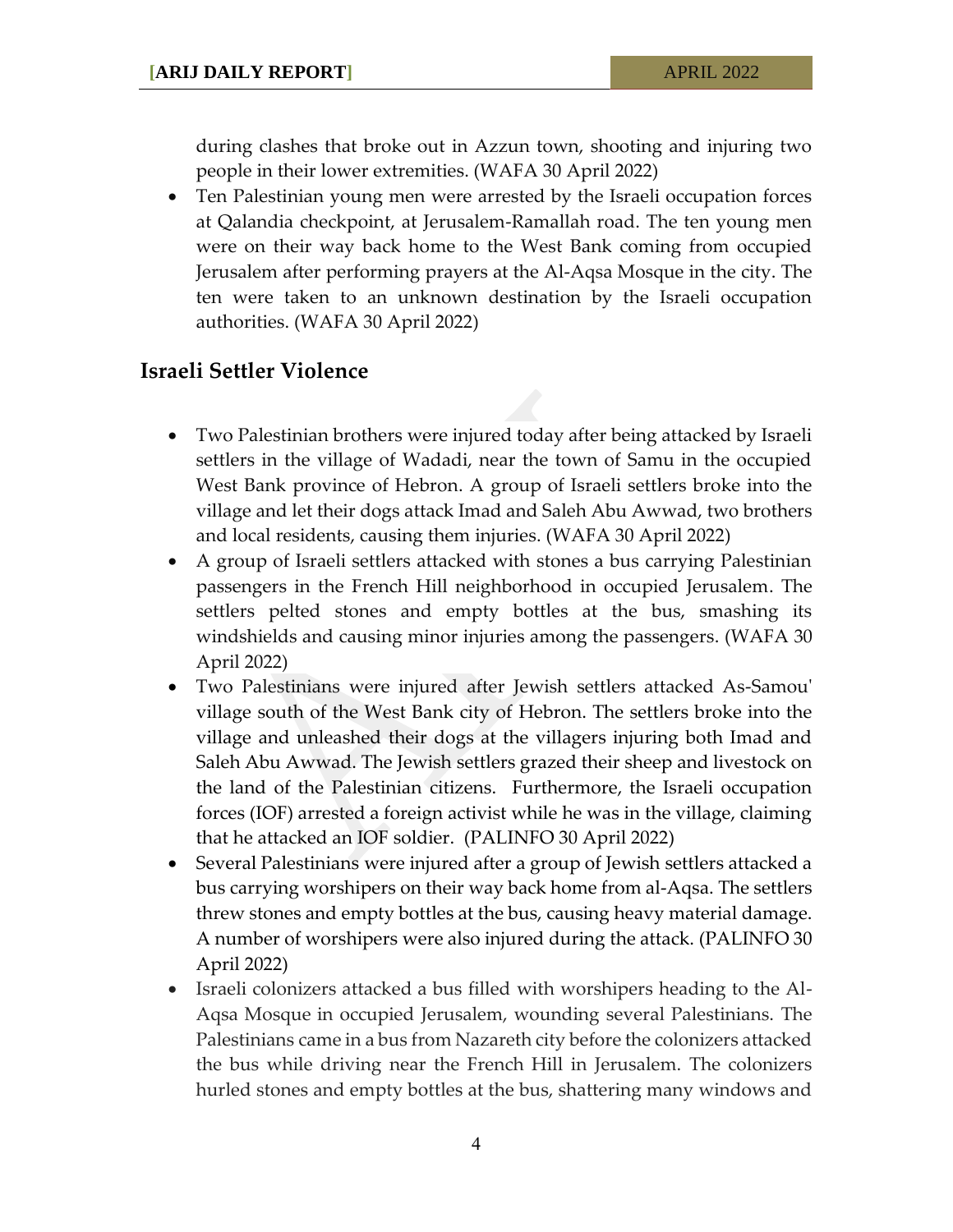during clashes that broke out in Azzun town, shooting and injuring two people in their lower extremities. (WAFA 30 April 2022)

 Ten Palestinian young men were arrested by the Israeli occupation forces at Qalandia checkpoint, at Jerusalem-Ramallah road. The ten young men were on their way back home to the West Bank coming from occupied Jerusalem after performing prayers at the Al-Aqsa Mosque in the city. The ten were taken to an unknown destination by the Israeli occupation authorities. (WAFA 30 April 2022)

## **Israeli Settler Violence**

- Two Palestinian brothers were injured today after being attacked by Israeli settlers in the village of Wadadi, near the town of Samu in the occupied West Bank province of Hebron. A group of Israeli settlers broke into the village and let their dogs attack Imad and Saleh Abu Awwad, two brothers and local residents, causing them injuries. (WAFA 30 April 2022)
- A group of Israeli settlers attacked with stones a bus carrying Palestinian passengers in the French Hill neighborhood in occupied Jerusalem. The settlers pelted stones and empty bottles at the bus, smashing its windshields and causing minor injuries among the passengers. (WAFA 30 April 2022)
- Two Palestinians were injured after Jewish settlers attacked As-Samou' village south of the West Bank city of Hebron. The settlers broke into the village and unleashed their dogs at the villagers injuring both Imad and Saleh Abu Awwad. The Jewish settlers grazed their sheep and livestock on the land of the Palestinian citizens. Furthermore, the Israeli occupation forces (IOF) arrested a foreign activist while he was in the village, claiming that he attacked an IOF soldier. (PALINFO 30 April 2022)
- Several Palestinians were injured after a group of Jewish settlers attacked a bus carrying worshipers on their way back home from al-Aqsa. The settlers threw stones and empty bottles at the bus, causing heavy material damage. A number of worshipers were also injured during the attack. (PALINFO 30 April 2022)
- Israeli colonizers attacked a bus filled with worshipers heading to the Al-Aqsa Mosque in occupied Jerusalem, wounding several Palestinians. The Palestinians came in a bus from Nazareth city before the colonizers attacked the bus while driving near the French Hill in Jerusalem. The colonizers hurled stones and empty bottles at the bus, shattering many windows and